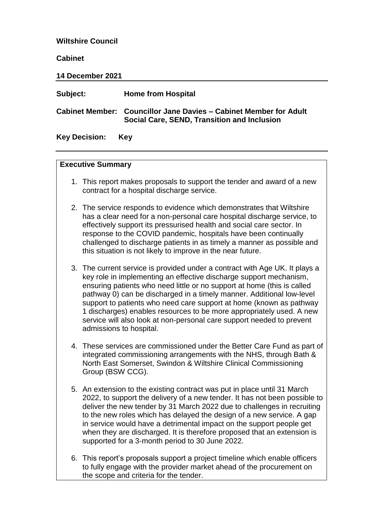#### **Wiltshire Council**

#### **Cabinet**

| 14 December 2021     |                                                                                                                         |  |
|----------------------|-------------------------------------------------------------------------------------------------------------------------|--|
| Subject:             | <b>Home from Hospital</b>                                                                                               |  |
|                      | <b>Cabinet Member: Councillor Jane Davies - Cabinet Member for Adult</b><br>Social Care, SEND, Transition and Inclusion |  |
| <b>Key Decision:</b> | Kev                                                                                                                     |  |

#### **Executive Summary**

- 1. This report makes proposals to support the tender and award of a new contract for a hospital discharge service.
- 2. The service responds to evidence which demonstrates that Wiltshire has a clear need for a non-personal care hospital discharge service, to effectively support its pressurised health and social care sector. In response to the COVID pandemic, hospitals have been continually challenged to discharge patients in as timely a manner as possible and this situation is not likely to improve in the near future.
- 3. The current service is provided under a contract with Age UK. It plays a key role in implementing an effective discharge support mechanism, ensuring patients who need little or no support at home (this is called pathway 0) can be discharged in a timely manner. Additional low-level support to patients who need care support at home (known as pathway 1 discharges) enables resources to be more appropriately used. A new service will also look at non-personal care support needed to prevent admissions to hospital.
- 4. These services are commissioned under the Better Care Fund as part of integrated commissioning arrangements with the NHS, through Bath & North East Somerset, Swindon & Wiltshire Clinical Commissioning Group (BSW CCG).
- 5. An extension to the existing contract was put in place until 31 March 2022, to support the delivery of a new tender. It has not been possible to deliver the new tender by 31 March 2022 due to challenges in recruiting to the new roles which has delayed the design of a new service. A gap in service would have a detrimental impact on the support people get when they are discharged. It is therefore proposed that an extension is supported for a 3-month period to 30 June 2022.
- 6. This report's proposals support a project timeline which enable officers to fully engage with the provider market ahead of the procurement on the scope and criteria for the tender.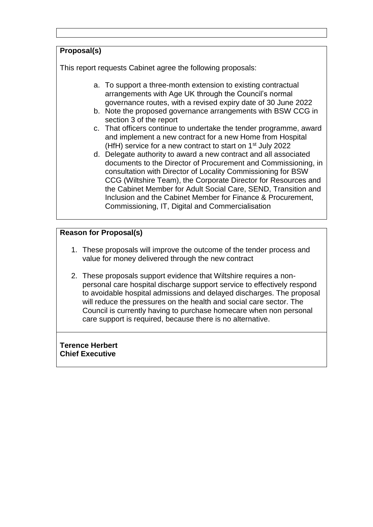# **Proposal(s)**

This report requests Cabinet agree the following proposals:

- a. To support a three-month extension to existing contractual arrangements with Age UK through the Council's normal governance routes, with a revised expiry date of 30 June 2022
- b. Note the proposed governance arrangements with BSW CCG in section 3 of the report
- c. That officers continue to undertake the tender programme, award and implement a new contract for a new Home from Hospital (HfH) service for a new contract to start on 1<sup>st</sup> July 2022
- d. Delegate authority to award a new contract and all associated documents to the Director of Procurement and Commissioning, in consultation with Director of Locality Commissioning for BSW CCG (Wiltshire Team), the Corporate Director for Resources and the Cabinet Member for Adult Social Care, SEND, Transition and Inclusion and the Cabinet Member for Finance & Procurement, Commissioning, IT, Digital and Commercialisation

## **Reason for Proposal(s)**

- 1. These proposals will improve the outcome of the tender process and value for money delivered through the new contract
- 2. These proposals support evidence that Wiltshire requires a nonpersonal care hospital discharge support service to effectively respond to avoidable hospital admissions and delayed discharges. The proposal will reduce the pressures on the health and social care sector. The Council is currently having to purchase homecare when non personal care support is required, because there is no alternative.

**Terence Herbert Chief Executive**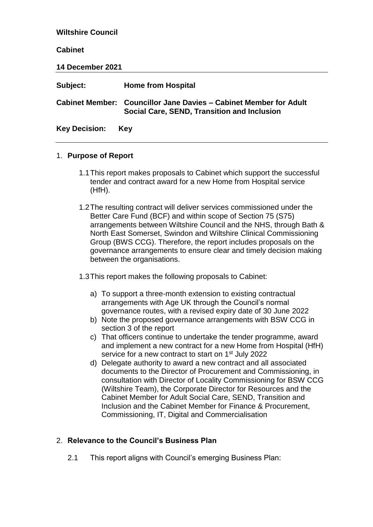**Wiltshire Council Cabinet 14 December 2021 Subject: Home from Hospital Cabinet Member: Councillor Jane Davies – Cabinet Member for Adult Social Care, SEND, Transition and Inclusion Key Decision: Key**

#### 1. **Purpose of Report**

- 1.1This report makes proposals to Cabinet which support the successful tender and contract award for a new Home from Hospital service (HfH).
- 1.2The resulting contract will deliver services commissioned under the Better Care Fund (BCF) and within scope of Section 75 (S75) arrangements between Wiltshire Council and the NHS, through Bath & North East Somerset, Swindon and Wiltshire Clinical Commissioning Group (BWS CCG). Therefore, the report includes proposals on the governance arrangements to ensure clear and timely decision making between the organisations.
- 1.3This report makes the following proposals to Cabinet:
	- a) To support a three-month extension to existing contractual arrangements with Age UK through the Council's normal governance routes, with a revised expiry date of 30 June 2022
	- b) Note the proposed governance arrangements with BSW CCG in section 3 of the report
	- c) That officers continue to undertake the tender programme, award and implement a new contract for a new Home from Hospital (HfH) service for a new contract to start on 1<sup>st</sup> July 2022
	- d) Delegate authority to award a new contract and all associated documents to the Director of Procurement and Commissioning, in consultation with Director of Locality Commissioning for BSW CCG (Wiltshire Team), the Corporate Director for Resources and the Cabinet Member for Adult Social Care, SEND, Transition and Inclusion and the Cabinet Member for Finance & Procurement, Commissioning, IT, Digital and Commercialisation

#### 2. **Relevance to the Council's Business Plan**

2.1 This report aligns with Council's emerging Business Plan: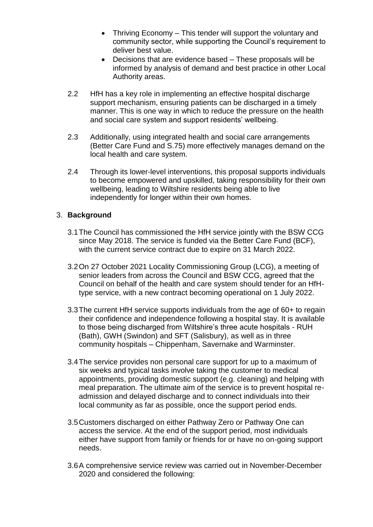- Thriving Economy This tender will support the voluntary and community sector, while supporting the Council's requirement to deliver best value.
- Decisions that are evidence based These proposals will be informed by analysis of demand and best practice in other Local Authority areas.
- 2.2 HfH has a key role in implementing an effective hospital discharge support mechanism, ensuring patients can be discharged in a timely manner. This is one way in which to reduce the pressure on the health and social care system and support residents' wellbeing.
- 2.3 Additionally, using integrated health and social care arrangements (Better Care Fund and S.75) more effectively manages demand on the local health and care system.
- 2.4 Through its lower-level interventions, this proposal supports individuals to become empowered and upskilled, taking responsibility for their own wellbeing, leading to Wiltshire residents being able to live independently for longer within their own homes.

## 3. **Background**

- 3.1The Council has commissioned the HfH service jointly with the BSW CCG since May 2018. The service is funded via the Better Care Fund (BCF), with the current service contract due to expire on 31 March 2022.
- 3.2On 27 October 2021 Locality Commissioning Group (LCG), a meeting of senior leaders from across the Council and BSW CCG, agreed that the Council on behalf of the health and care system should tender for an HfHtype service, with a new contract becoming operational on 1 July 2022.
- 3.3The current HfH service supports individuals from the age of 60+ to regain their confidence and independence following a hospital stay. It is available to those being discharged from Wiltshire's three acute hospitals - RUH (Bath), GWH (Swindon) and SFT (Salisbury), as well as in three community hospitals – Chippenham, Savernake and Warminster.
- 3.4The service provides non personal care support for up to a maximum of six weeks and typical tasks involve taking the customer to medical appointments, providing domestic support (e.g. cleaning) and helping with meal preparation. The ultimate aim of the service is to prevent hospital readmission and delayed discharge and to connect individuals into their local community as far as possible, once the support period ends.
- 3.5Customers discharged on either Pathway Zero or Pathway One can access the service. At the end of the support period, most individuals either have support from family or friends for or have no on-going support needs.
- 3.6A comprehensive service review was carried out in November-December 2020 and considered the following: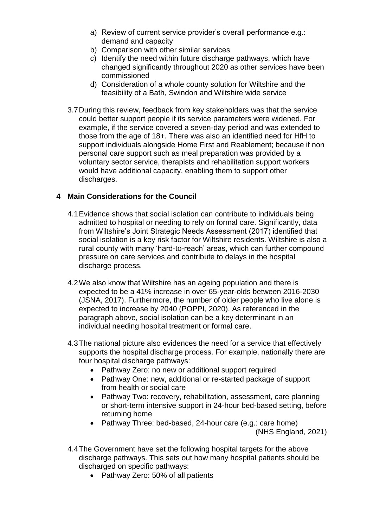- a) Review of current service provider's overall performance e.g.: demand and capacity
- b) Comparison with other similar services
- c) Identify the need within future discharge pathways, which have changed significantly throughout 2020 as other services have been commissioned
- d) Consideration of a whole county solution for Wiltshire and the feasibility of a Bath, Swindon and Wiltshire wide service
- 3.7During this review, feedback from key stakeholders was that the service could better support people if its service parameters were widened. For example, if the service covered a seven-day period and was extended to those from the age of 18+. There was also an identified need for HfH to support individuals alongside Home First and Reablement; because if non personal care support such as meal preparation was provided by a voluntary sector service, therapists and rehabilitation support workers would have additional capacity, enabling them to support other discharges.

## **4 Main Considerations for the Council**

- 4.1Evidence shows that social isolation can contribute to individuals being admitted to hospital or needing to rely on formal care. Significantly, data from Wiltshire's Joint Strategic Needs Assessment (2017) identified that social isolation is a key risk factor for Wiltshire residents. Wiltshire is also a rural county with many 'hard-to-reach' areas, which can further compound pressure on care services and contribute to delays in the hospital discharge process.
- 4.2We also know that Wiltshire has an ageing population and there is expected to be a 41% increase in over 65-year-olds between 2016-2030 (JSNA, 2017). Furthermore, the number of older people who live alone is expected to increase by 2040 (POPPI, 2020). As referenced in the paragraph above, social isolation can be a key determinant in an individual needing hospital treatment or formal care.
- 4.3The national picture also evidences the need for a service that effectively supports the hospital discharge process. For example, nationally there are four hospital discharge pathways:
	- Pathway Zero: no new or additional support required
	- Pathway One: new, additional or re-started package of support from health or social care
	- Pathway Two: recovery, rehabilitation, assessment, care planning or short-term intensive support in 24-hour bed-based setting, before returning home
	- Pathway Three: bed-based, 24-hour care (e.g.: care home) (NHS England, 2021)
- 4.4The Government have set the following hospital targets for the above discharge pathways. This sets out how many hospital patients should be discharged on specific pathways:
	- Pathway Zero: 50% of all patients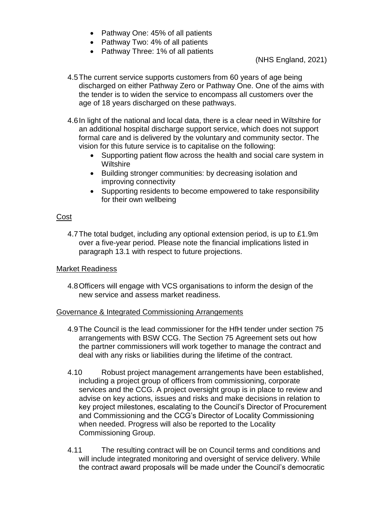- Pathway One: 45% of all patients
- Pathway Two: 4% of all patients
- Pathway Three: 1% of all patients

(NHS England, 2021)

- 4.5The current service supports customers from 60 years of age being discharged on either Pathway Zero or Pathway One. One of the aims with the tender is to widen the service to encompass all customers over the age of 18 years discharged on these pathways.
- 4.6In light of the national and local data, there is a clear need in Wiltshire for an additional hospital discharge support service, which does not support formal care and is delivered by the voluntary and community sector. The vision for this future service is to capitalise on the following:
	- Supporting patient flow across the health and social care system in **Wiltshire**
	- Building stronger communities: by decreasing isolation and improving connectivity
	- Supporting residents to become empowered to take responsibility for their own wellbeing

#### Cost

4.7The total budget, including any optional extension period, is up to £1.9m over a five-year period. Please note the financial implications listed in paragraph 13.1 with respect to future projections.

#### Market Readiness

4.8Officers will engage with VCS organisations to inform the design of the new service and assess market readiness.

#### Governance & Integrated Commissioning Arrangements

- 4.9The Council is the lead commissioner for the HfH tender under section 75 arrangements with BSW CCG. The Section 75 Agreement sets out how the partner commissioners will work together to manage the contract and deal with any risks or liabilities during the lifetime of the contract.
- 4.10 Robust project management arrangements have been established, including a project group of officers from commissioning, corporate services and the CCG. A project oversight group is in place to review and advise on key actions, issues and risks and make decisions in relation to key project milestones, escalating to the Council's Director of Procurement and Commissioning and the CCG's Director of Locality Commissioning when needed. Progress will also be reported to the Locality Commissioning Group.
- 4.11 The resulting contract will be on Council terms and conditions and will include integrated monitoring and oversight of service delivery. While the contract award proposals will be made under the Council's democratic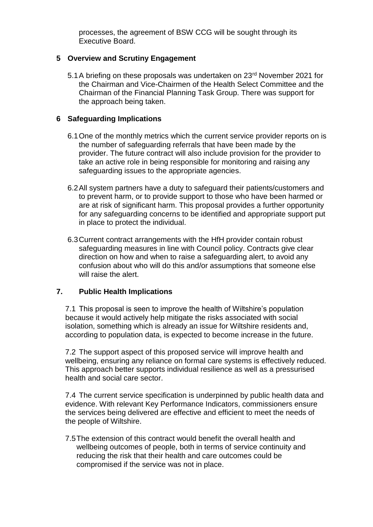processes, the agreement of BSW CCG will be sought through its Executive Board.

## **5 Overview and Scrutiny Engagement**

5.1 A briefing on these proposals was undertaken on 23<sup>rd</sup> November 2021 for the Chairman and Vice-Chairmen of the Health Select Committee and the Chairman of the Financial Planning Task Group. There was support for the approach being taken.

## **6 Safeguarding Implications**

- 6.1One of the monthly metrics which the current service provider reports on is the number of safeguarding referrals that have been made by the provider. The future contract will also include provision for the provider to take an active role in being responsible for monitoring and raising any safeguarding issues to the appropriate agencies.
- 6.2All system partners have a duty to safeguard their patients/customers and to prevent harm, or to provide support to those who have been harmed or are at risk of significant harm. This proposal provides a further opportunity for any safeguarding concerns to be identified and appropriate support put in place to protect the individual.
- 6.3Current contract arrangements with the HfH provider contain robust safeguarding measures in line with Council policy. Contracts give clear direction on how and when to raise a safeguarding alert, to avoid any confusion about who will do this and/or assumptions that someone else will raise the alert.

## **7. Public Health Implications**

7.1 This proposal is seen to improve the health of Wiltshire's population because it would actively help mitigate the risks associated with social isolation, something which is already an issue for Wiltshire residents and, according to population data, is expected to become increase in the future.

7.2 The support aspect of this proposed service will improve health and wellbeing, ensuring any reliance on formal care systems is effectively reduced. This approach better supports individual resilience as well as a pressurised health and social care sector.

7.4 The current service specification is underpinned by public health data and evidence. With relevant Key Performance Indicators, commissioners ensure the services being delivered are effective and efficient to meet the needs of the people of Wiltshire.

7.5The extension of this contract would benefit the overall health and wellbeing outcomes of people, both in terms of service continuity and reducing the risk that their health and care outcomes could be compromised if the service was not in place.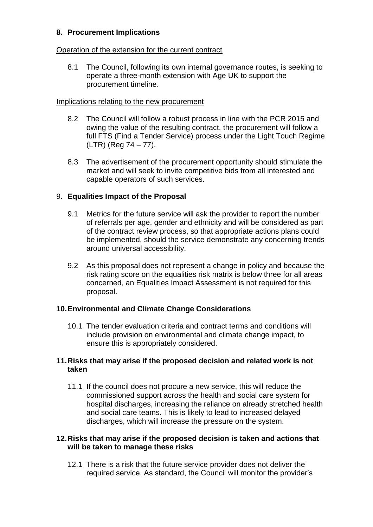## **8. Procurement Implications**

#### Operation of the extension for the current contract

8.1 The Council, following its own internal governance routes, is seeking to operate a three-month extension with Age UK to support the procurement timeline.

## Implications relating to the new procurement

- 8.2 The Council will follow a robust process in line with the PCR 2015 and owing the value of the resulting contract, the procurement will follow a full FTS (Find a Tender Service) process under the Light Touch Regime (LTR) (Reg 74 – 77).
- 8.3 The advertisement of the procurement opportunity should stimulate the market and will seek to invite competitive bids from all interested and capable operators of such services.

## 9. **Equalities Impact of the Proposal**

- 9.1 Metrics for the future service will ask the provider to report the number of referrals per age, gender and ethnicity and will be considered as part of the contract review process, so that appropriate actions plans could be implemented, should the service demonstrate any concerning trends around universal accessibility.
- 9.2 As this proposal does not represent a change in policy and because the risk rating score on the equalities risk matrix is below three for all areas concerned, an Equalities Impact Assessment is not required for this proposal.

## **10.Environmental and Climate Change Considerations**

10.1 The tender evaluation criteria and contract terms and conditions will include provision on environmental and climate change impact, to ensure this is appropriately considered.

## **11.Risks that may arise if the proposed decision and related work is not taken**

11.1 If the council does not procure a new service, this will reduce the commissioned support across the health and social care system for hospital discharges, increasing the reliance on already stretched health and social care teams. This is likely to lead to increased delayed discharges, which will increase the pressure on the system.

#### **12.Risks that may arise if the proposed decision is taken and actions that will be taken to manage these risks**

12.1 There is a risk that the future service provider does not deliver the required service. As standard, the Council will monitor the provider's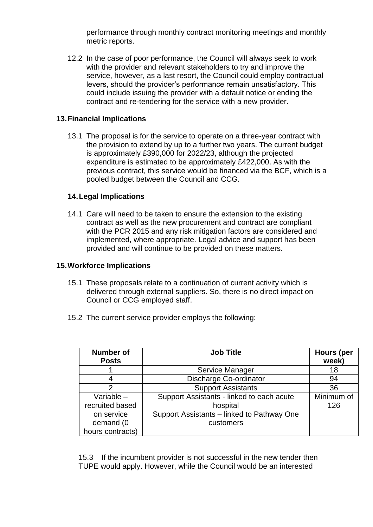performance through monthly contract monitoring meetings and monthly metric reports.

12.2 In the case of poor performance, the Council will always seek to work with the provider and relevant stakeholders to try and improve the service, however, as a last resort, the Council could employ contractual levers, should the provider's performance remain unsatisfactory. This could include issuing the provider with a default notice or ending the contract and re-tendering for the service with a new provider.

## **13.Financial Implications**

13.1 The proposal is for the service to operate on a three-year contract with the provision to extend by up to a further two years. The current budget is approximately £390,000 for 2022/23, although the projected expenditure is estimated to be approximately £422,000. As with the previous contract, this service would be financed via the BCF, which is a pooled budget between the Council and CCG.

## **14.Legal Implications**

14.1 Care will need to be taken to ensure the extension to the existing contract as well as the new procurement and contract are compliant with the PCR 2015 and any risk mitigation factors are considered and implemented, where appropriate. Legal advice and support has been provided and will continue to be provided on these matters.

#### **15.Workforce Implications**

- 15.1 These proposals relate to a continuation of current activity which is delivered through external suppliers. So, there is no direct impact on Council or CCG employed staff.
- 15.2 The current service provider employs the following:

| <b>Number of</b><br><b>Posts</b> | <b>Job Title</b>                           | Hours (per<br>week) |
|----------------------------------|--------------------------------------------|---------------------|
|                                  | Service Manager                            | 18                  |
| 4                                | Discharge Co-ordinator                     | 94                  |
| 2                                | <b>Support Assistants</b>                  | 36                  |
| Variable $-$                     | Support Assistants - linked to each acute  | Minimum of          |
| recruited based                  | hospital                                   | 126                 |
| on service                       | Support Assistants - linked to Pathway One |                     |
| demand (0                        | customers                                  |                     |
| hours contracts)                 |                                            |                     |

15.3 If the incumbent provider is not successful in the new tender then TUPE would apply. However, while the Council would be an interested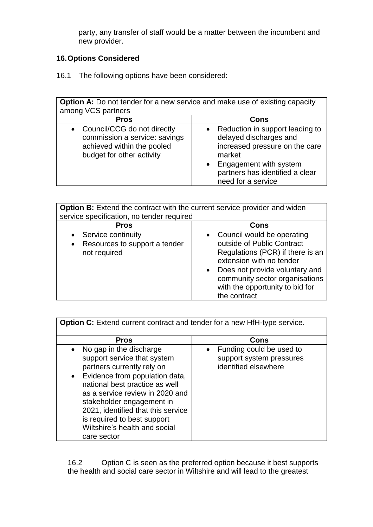party, any transfer of staff would be a matter between the incumbent and new provider.

# **16.Options Considered**

16.1 The following options have been considered:

| <b>Option A:</b> Do not tender for a new service and make use of existing capacity                                        |                                                                                                                                                                                                                    |  |  |  |
|---------------------------------------------------------------------------------------------------------------------------|--------------------------------------------------------------------------------------------------------------------------------------------------------------------------------------------------------------------|--|--|--|
| among VCS partners                                                                                                        |                                                                                                                                                                                                                    |  |  |  |
| <b>Pros</b>                                                                                                               | Cons                                                                                                                                                                                                               |  |  |  |
| • Council/CCG do not directly<br>commission a service: savings<br>achieved within the pooled<br>budget for other activity | Reduction in support leading to<br>$\bullet$<br>delayed discharges and<br>increased pressure on the care<br>market<br>Engagement with system<br>$\bullet$<br>partners has identified a clear<br>need for a service |  |  |  |

| <b>Option B:</b> Extend the contract with the current service provider and widen<br>service specification, no tender required |                                                                                                                                                                                                                                                                           |  |  |  |
|-------------------------------------------------------------------------------------------------------------------------------|---------------------------------------------------------------------------------------------------------------------------------------------------------------------------------------------------------------------------------------------------------------------------|--|--|--|
| <b>Pros</b>                                                                                                                   | Cons                                                                                                                                                                                                                                                                      |  |  |  |
| Service continuity<br>Resources to support a tender<br>$\bullet$<br>not required                                              | Council would be operating<br>$\bullet$<br>outside of Public Contract<br>Regulations (PCR) if there is an<br>extension with no tender<br>Does not provide voluntary and<br>$\bullet$<br>community sector organisations<br>with the opportunity to bid for<br>the contract |  |  |  |

| <b>Option C:</b> Extend current contract and tender for a new HfH-type service.                                                                                                                                                                                                                                                                            |                                                                              |  |  |  |
|------------------------------------------------------------------------------------------------------------------------------------------------------------------------------------------------------------------------------------------------------------------------------------------------------------------------------------------------------------|------------------------------------------------------------------------------|--|--|--|
| <b>Pros</b>                                                                                                                                                                                                                                                                                                                                                | Cons                                                                         |  |  |  |
| No gap in the discharge<br>support service that system<br>partners currently rely on<br>Evidence from population data,<br>$\bullet$<br>national best practice as well<br>as a service review in 2020 and<br>stakeholder engagement in<br>2021, identified that this service<br>is required to best support<br>Wiltshire's health and social<br>care sector | Funding could be used to<br>support system pressures<br>identified elsewhere |  |  |  |

16.2 Option C is seen as the preferred option because it best supports the health and social care sector in Wiltshire and will lead to the greatest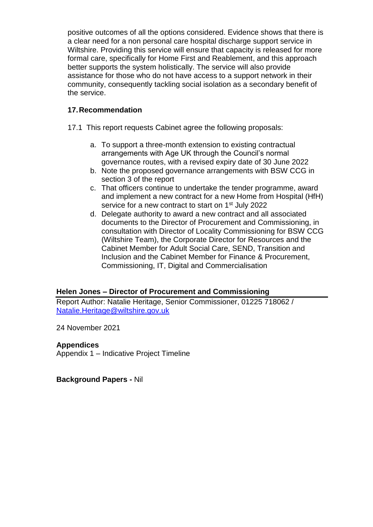positive outcomes of all the options considered. Evidence shows that there is a clear need for a non personal care hospital discharge support service in Wiltshire. Providing this service will ensure that capacity is released for more formal care, specifically for Home First and Reablement, and this approach better supports the system holistically. The service will also provide assistance for those who do not have access to a support network in their community, consequently tackling social isolation as a secondary benefit of the service.

# **17.Recommendation**

17.1 This report requests Cabinet agree the following proposals:

- a. To support a three-month extension to existing contractual arrangements with Age UK through the Council's normal governance routes, with a revised expiry date of 30 June 2022
- b. Note the proposed governance arrangements with BSW CCG in section 3 of the report
- c. That officers continue to undertake the tender programme, award and implement a new contract for a new Home from Hospital (HfH) service for a new contract to start on 1<sup>st</sup> July 2022
- d. Delegate authority to award a new contract and all associated documents to the Director of Procurement and Commissioning, in consultation with Director of Locality Commissioning for BSW CCG (Wiltshire Team), the Corporate Director for Resources and the Cabinet Member for Adult Social Care, SEND, Transition and Inclusion and the Cabinet Member for Finance & Procurement, Commissioning, IT, Digital and Commercialisation

## **Helen Jones – Director of Procurement and Commissioning**

Report Author: Natalie Heritage, Senior Commissioner, 01225 718062 / [Natalie.Heritage@wiltshire.gov.uk](mailto:Natalie.Heritage@wiltshire.gov.uk)

24 November 2021

#### **Appendices**

Appendix 1 – Indicative Project Timeline

**Background Papers -** Nil